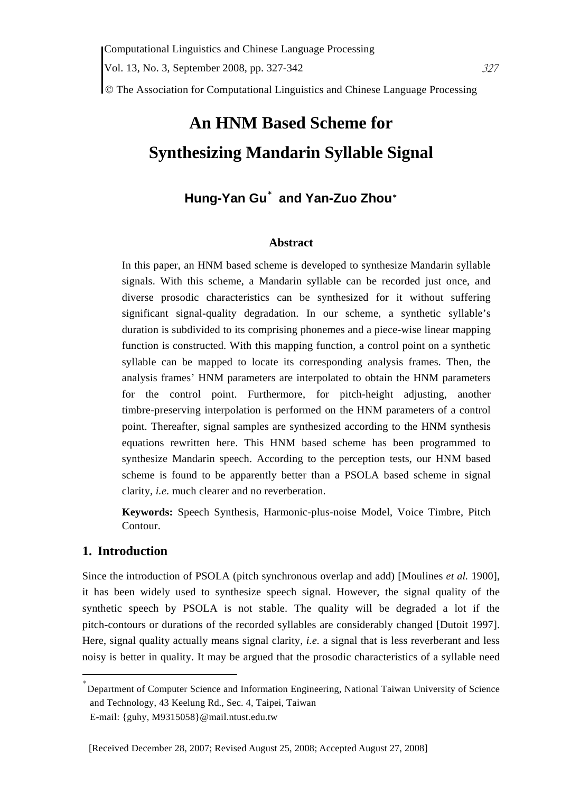© The Association for Computational Linguistics and Chinese Language Processing

# **An HNM Based Scheme for Synthesizing Mandarin Syllable Signal**

# **Hung-Yan Gu**\*  **and Yan-Zuo Zhou**\*

#### **Abstract**

In this paper, an HNM based scheme is developed to synthesize Mandarin syllable signals. With this scheme, a Mandarin syllable can be recorded just once, and diverse prosodic characteristics can be synthesized for it without suffering significant signal-quality degradation. In our scheme, a synthetic syllable's duration is subdivided to its comprising phonemes and a piece-wise linear mapping function is constructed. With this mapping function, a control point on a synthetic syllable can be mapped to locate its corresponding analysis frames. Then, the analysis frames' HNM parameters are interpolated to obtain the HNM parameters for the control point. Furthermore, for pitch-height adjusting, another timbre-preserving interpolation is performed on the HNM parameters of a control point. Thereafter, signal samples are synthesized according to the HNM synthesis equations rewritten here. This HNM based scheme has been programmed to synthesize Mandarin speech. According to the perception tests, our HNM based scheme is found to be apparently better than a PSOLA based scheme in signal clarity, *i.e*. much clearer and no reverberation.

**Keywords:** Speech Synthesis, Harmonic-plus-noise Model, Voice Timbre, Pitch Contour.

# **1. Introduction**

Since the introduction of PSOLA (pitch synchronous overlap and add) [Moulines *et al.* 1900], it has been widely used to synthesize speech signal. However, the signal quality of the synthetic speech by PSOLA is not stable. The quality will be degraded a lot if the pitch-contours or durations of the recorded syllables are considerably changed [Dutoit 1997]. Here, signal quality actually means signal clarity, *i.e.* a signal that is less reverberant and less noisy is better in quality. It may be argued that the prosodic characteristics of a syllable need

<sup>\*</sup> Department of Computer Science and Information Engineering, National Taiwan University of Science and Technology, 43 Keelung Rd., Sec. 4, Taipei, Taiwan

E-mail: {guhy, M9315058}@mail.ntust.edu.tw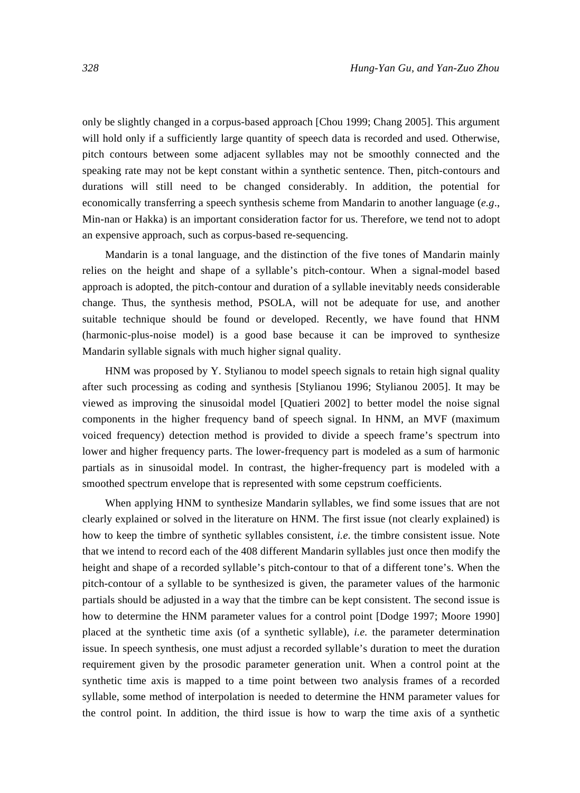only be slightly changed in a corpus-based approach [Chou 1999; Chang 2005]. This argument will hold only if a sufficiently large quantity of speech data is recorded and used. Otherwise, pitch contours between some adjacent syllables may not be smoothly connected and the speaking rate may not be kept constant within a synthetic sentence. Then, pitch-contours and durations will still need to be changed considerably. In addition, the potential for economically transferring a speech synthesis scheme from Mandarin to another language (*e.g*., Min-nan or Hakka) is an important consideration factor for us. Therefore, we tend not to adopt an expensive approach, such as corpus-based re-sequencing.

Mandarin is a tonal language, and the distinction of the five tones of Mandarin mainly relies on the height and shape of a syllable's pitch-contour. When a signal-model based approach is adopted, the pitch-contour and duration of a syllable inevitably needs considerable change. Thus, the synthesis method, PSOLA, will not be adequate for use, and another suitable technique should be found or developed. Recently, we have found that HNM (harmonic-plus-noise model) is a good base because it can be improved to synthesize Mandarin syllable signals with much higher signal quality.

HNM was proposed by Y. Stylianou to model speech signals to retain high signal quality after such processing as coding and synthesis [Stylianou 1996; Stylianou 2005]. It may be viewed as improving the sinusoidal model [Quatieri 2002] to better model the noise signal components in the higher frequency band of speech signal. In HNM, an MVF (maximum voiced frequency) detection method is provided to divide a speech frame's spectrum into lower and higher frequency parts. The lower-frequency part is modeled as a sum of harmonic partials as in sinusoidal model. In contrast, the higher-frequency part is modeled with a smoothed spectrum envelope that is represented with some cepstrum coefficients.

When applying HNM to synthesize Mandarin syllables, we find some issues that are not clearly explained or solved in the literature on HNM. The first issue (not clearly explained) is how to keep the timbre of synthetic syllables consistent, *i.e*. the timbre consistent issue. Note that we intend to record each of the 408 different Mandarin syllables just once then modify the height and shape of a recorded syllable's pitch-contour to that of a different tone's. When the pitch-contour of a syllable to be synthesized is given, the parameter values of the harmonic partials should be adjusted in a way that the timbre can be kept consistent. The second issue is how to determine the HNM parameter values for a control point [Dodge 1997; Moore 1990] placed at the synthetic time axis (of a synthetic syllable), *i.e.* the parameter determination issue. In speech synthesis, one must adjust a recorded syllable's duration to meet the duration requirement given by the prosodic parameter generation unit. When a control point at the synthetic time axis is mapped to a time point between two analysis frames of a recorded syllable, some method of interpolation is needed to determine the HNM parameter values for the control point. In addition, the third issue is how to warp the time axis of a synthetic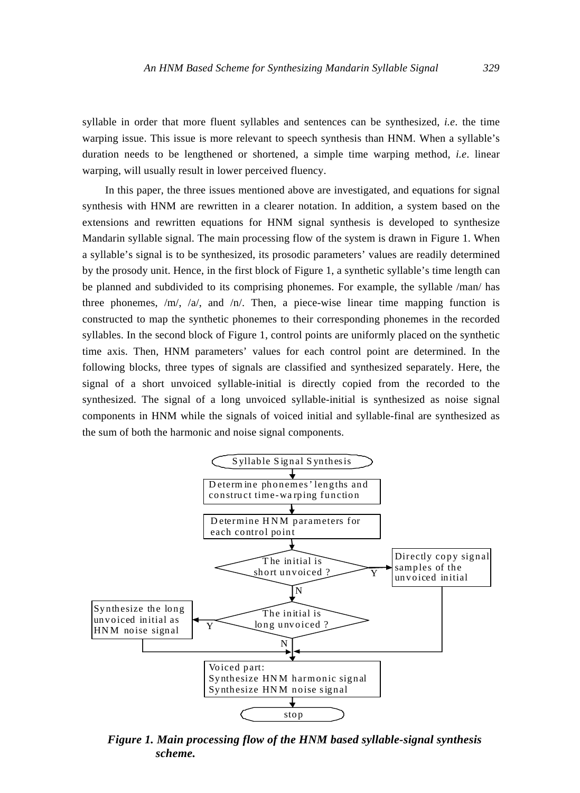syllable in order that more fluent syllables and sentences can be synthesized, *i.e*. the time warping issue. This issue is more relevant to speech synthesis than HNM. When a syllable's duration needs to be lengthened or shortened, a simple time warping method, *i.e*. linear warping, will usually result in lower perceived fluency.

In this paper, the three issues mentioned above are investigated, and equations for signal synthesis with HNM are rewritten in a clearer notation. In addition, a system based on the extensions and rewritten equations for HNM signal synthesis is developed to synthesize Mandarin syllable signal. The main processing flow of the system is drawn in Figure 1. When a syllable's signal is to be synthesized, its prosodic parameters' values are readily determined by the prosody unit. Hence, in the first block of Figure 1, a synthetic syllable's time length can be planned and subdivided to its comprising phonemes. For example, the syllable /man/ has three phonemes,  $/m/$ ,  $/a/$ , and  $/n/$ . Then, a piece-wise linear time mapping function is constructed to map the synthetic phonemes to their corresponding phonemes in the recorded syllables. In the second block of Figure 1, control points are uniformly placed on the synthetic time axis. Then, HNM parameters' values for each control point are determined. In the following blocks, three types of signals are classified and synthesized separately. Here, the signal of a short unvoiced syllable-initial is directly copied from the recorded to the synthesized. The signal of a long unvoiced syllable-initial is synthesized as noise signal components in HNM while the signals of voiced initial and syllable-final are synthesized as the sum of both the harmonic and noise signal components.



*Figure 1. Main processing flow of the HNM based syllable-signal synthesis scheme.*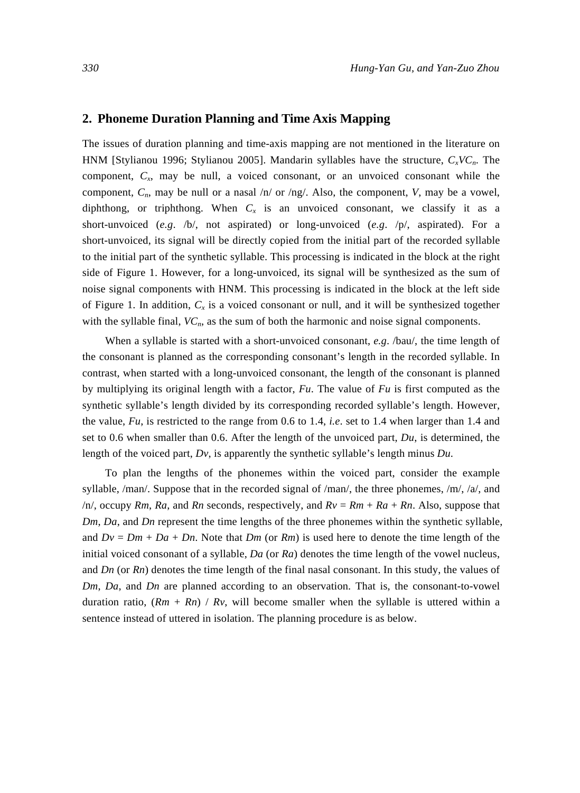# **2. Phoneme Duration Planning and Time Axis Mapping**

The issues of duration planning and time-axis mapping are not mentioned in the literature on HNM [Stylianou 1996; Stylianou 2005]. Mandarin syllables have the structure, *CxVCn*. The component, *Cx*, may be null, a voiced consonant, or an unvoiced consonant while the component, *Cn*, may be null or a nasal /n/ or /ng/. Also, the component, *V*, may be a vowel, diphthong, or triphthong. When  $C_x$  is an unvoiced consonant, we classify it as a short-unvoiced (*e.g*. /b/, not aspirated) or long-unvoiced (*e.g*. /p/, aspirated). For a short-unvoiced, its signal will be directly copied from the initial part of the recorded syllable to the initial part of the synthetic syllable. This processing is indicated in the block at the right side of Figure 1. However, for a long-unvoiced, its signal will be synthesized as the sum of noise signal components with HNM. This processing is indicated in the block at the left side of Figure 1. In addition,  $C_x$  is a voiced consonant or null, and it will be synthesized together with the syllable final,  $VC<sub>n</sub>$ , as the sum of both the harmonic and noise signal components.

When a syllable is started with a short-unvoiced consonant, *e.g*. /bau/, the time length of the consonant is planned as the corresponding consonant's length in the recorded syllable. In contrast, when started with a long-unvoiced consonant, the length of the consonant is planned by multiplying its original length with a factor, *Fu*. The value of *Fu* is first computed as the synthetic syllable's length divided by its corresponding recorded syllable's length. However, the value, *Fu*, is restricted to the range from 0.6 to 1.4, *i.e*. set to 1.4 when larger than 1.4 and set to 0.6 when smaller than 0.6. After the length of the unvoiced part, *Du*, is determined, the length of the voiced part, *Dv*, is apparently the synthetic syllable's length minus *Du*.

To plan the lengths of the phonemes within the voiced part, consider the example syllable,  $/man/$ . Suppose that in the recorded signal of  $/man/$ , the three phonemes,  $/m/$ ,  $/a/$ , and  $/n/$ , occupy *Rm*, *Ra*, and *Rn* seconds, respectively, and  $Rv = Rm + Ra + Rn$ . Also, suppose that *Dm*, *Da*, and *Dn* represent the time lengths of the three phonemes within the synthetic syllable, and  $Dv = Dm + Da + Dn$ . Note that  $Dm$  (or  $Rm$ ) is used here to denote the time length of the initial voiced consonant of a syllable, *Da* (or *Ra*) denotes the time length of the vowel nucleus, and *Dn* (or *Rn*) denotes the time length of the final nasal consonant. In this study, the values of *Dm*, *Da*, and *Dn* are planned according to an observation. That is, the consonant-to-vowel duration ratio,  $(Rm + Rn) / Rv$ , will become smaller when the syllable is uttered within a sentence instead of uttered in isolation. The planning procedure is as below.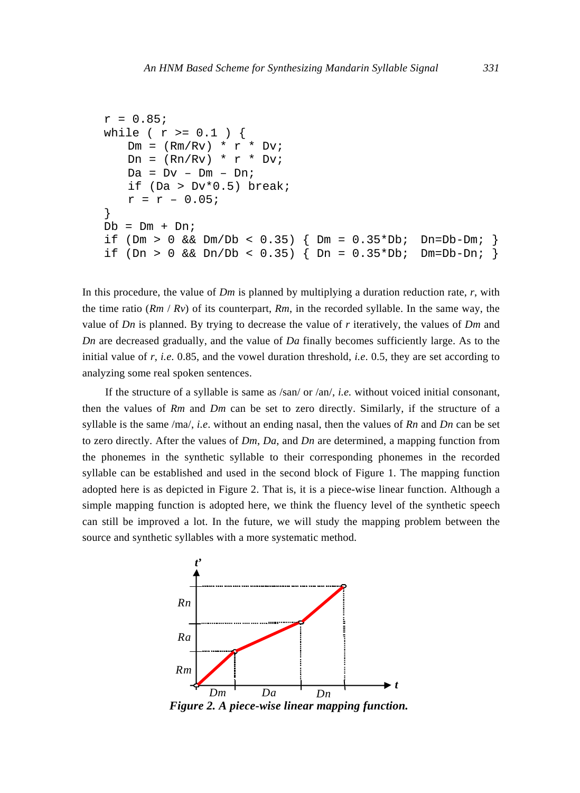```
r = 0.85while ( r >= 0.1 )
   Dm = (Rm/Rv) * r * DviDn = (Rn/Rv) * r * DviDa = Dv - Dm - Dn;if (Da > Dv*0.5) break;
   r = r - 0.05;
} 
Db = Dm + Dniif (Dm > 0 && Dm/Db < 0.35) { Dm = 0.35 * Db; Dn=Db-Dm;
if (Dn > 0 && Dn/Db < 0.35) { Dn = 0.35 *Db; Dm=Db-Dn; }
```
In this procedure, the value of *Dm* is planned by multiplying a duration reduction rate, *r*, with the time ratio  $(Rm / Rv)$  of its counterpart,  $Rm$ , in the recorded syllable. In the same way, the value of *Dn* is planned. By trying to decrease the value of *r* iteratively, the values of *Dm* and *Dn* are decreased gradually, and the value of *Da* finally becomes sufficiently large. As to the initial value of *r*, *i.e*. 0.85, and the vowel duration threshold, *i.e*. 0.5, they are set according to analyzing some real spoken sentences.

If the structure of a syllable is same as /san/ or /an/, *i.e.* without voiced initial consonant, then the values of *Rm* and *Dm* can be set to zero directly. Similarly, if the structure of a syllable is the same /ma/, *i.e*. without an ending nasal, then the values of *Rn* and *Dn* can be set to zero directly. After the values of *Dm*, *Da*, and *Dn* are determined, a mapping function from the phonemes in the synthetic syllable to their corresponding phonemes in the recorded syllable can be established and used in the second block of Figure 1. The mapping function adopted here is as depicted in Figure 2. That is, it is a piece-wise linear function. Although a simple mapping function is adopted here, we think the fluency level of the synthetic speech can still be improved a lot. In the future, we will study the mapping problem between the source and synthetic syllables with a more systematic method.



*Figure 2. A piece-wise linear mapping function.*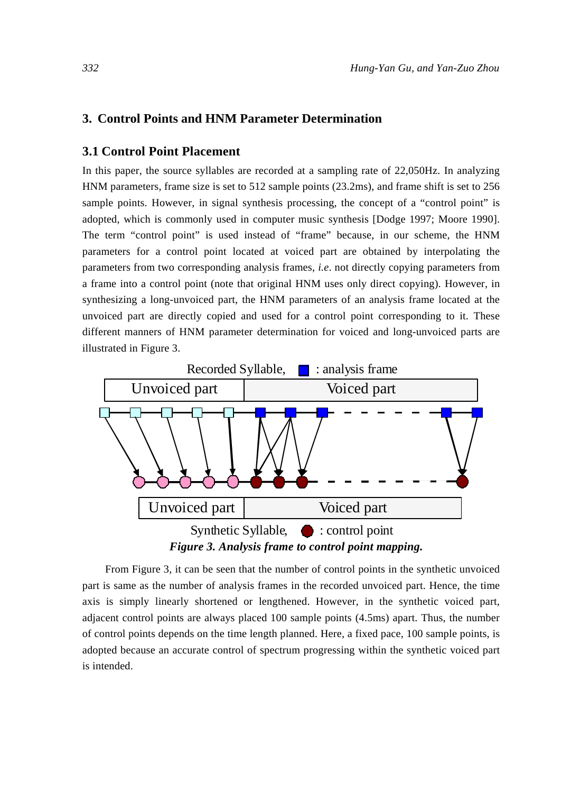# **3. Control Points and HNM Parameter Determination**

### **3.1 Control Point Placement**

In this paper, the source syllables are recorded at a sampling rate of 22,050Hz. In analyzing HNM parameters, frame size is set to 512 sample points (23.2ms), and frame shift is set to 256 sample points. However, in signal synthesis processing, the concept of a "control point" is adopted, which is commonly used in computer music synthesis [Dodge 1997; Moore 1990]. The term "control point" is used instead of "frame" because, in our scheme, the HNM parameters for a control point located at voiced part are obtained by interpolating the parameters from two corresponding analysis frames, *i.e*. not directly copying parameters from a frame into a control point (note that original HNM uses only direct copying). However, in synthesizing a long-unvoiced part, the HNM parameters of an analysis frame located at the unvoiced part are directly copied and used for a control point corresponding to it. These different manners of HNM parameter determination for voiced and long-unvoiced parts are illustrated in Figure 3.



From Figure 3, it can be seen that the number of control points in the synthetic unvoiced part is same as the number of analysis frames in the recorded unvoiced part. Hence, the time axis is simply linearly shortened or lengthened. However, in the synthetic voiced part, adjacent control points are always placed 100 sample points (4.5ms) apart. Thus, the number of control points depends on the time length planned. Here, a fixed pace, 100 sample points, is adopted because an accurate control of spectrum progressing within the synthetic voiced part is intended.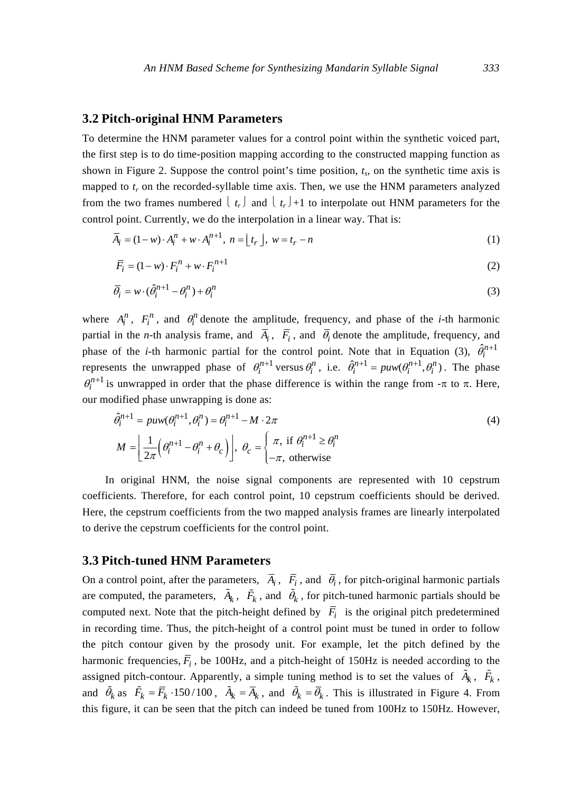#### **3.2 Pitch-original HNM Parameters**

To determine the HNM parameter values for a control point within the synthetic voiced part, the first step is to do time-position mapping according to the constructed mapping function as shown in Figure 2. Suppose the control point's time position,  $t_s$ , on the synthetic time axis is mapped to  $t_r$  on the recorded-syllable time axis. Then, we use the HNM parameters analyzed from the two frames numbered  $\lfloor t_r \rfloor$  and  $\lfloor t_r \rfloor +1$  to interpolate out HNM parameters for the control point. Currently, we do the interpolation in a linear way. That is:

$$
\overline{A}_i = (1 - w) \cdot A_i^n + w \cdot A_i^{n+1}, \quad n = \lfloor t_r \rfloor, \quad w = t_r - n \tag{1}
$$

$$
\overline{F}_i = (1 - w) \cdot F_i^n + w \cdot F_i^{n+1}
$$
\n<sup>(2)</sup>

$$
\overline{\theta_i} = w \cdot (\hat{\theta_i}^{n+1} - \theta_i^n) + \theta_i^n \tag{3}
$$

where  $A_i^n$ ,  $F_i^n$ , and  $\theta_i^n$  denote the amplitude, frequency, and phase of the *i*-th harmonic partial in the *n*-th analysis frame, and  $\overline{A}_i$ ,  $\overline{F}_i$ , and  $\overline{\theta}_i$  denote the amplitude, frequency, and phase of the *i*-th harmonic partial for the control point. Note that in Equation (3),  $\hat{\theta}_i^{n+1}$ represents the unwrapped phase of  $\theta_i^{n+1}$  versus  $\theta_i^n$ , i.e.  $\hat{\theta}_i^{n+1} = \text{puw}(\theta_i^{n+1}, \theta_i^n)$ . The phase  $\theta_i^{n+1}$  is unwrapped in order that the phase difference is within the range from  $-\pi$  to  $\pi$ . Here, our modified phase unwrapping is done as:

$$
\hat{\theta}_i^{n+1} = puw(\theta_i^{n+1}, \theta_i^n) = \theta_i^{n+1} - M \cdot 2\pi
$$
\n
$$
M = \left[ \frac{1}{2\pi} \left( \theta_i^{n+1} - \theta_i^n + \theta_c \right) \right], \ \theta_c = \begin{cases} \pi, & \text{if } \theta_i^{n+1} \ge \theta_i^n \\ -\pi, & \text{otherwise} \end{cases} \tag{4}
$$

In original HNM, the noise signal components are represented with 10 cepstrum coefficients. Therefore, for each control point, 10 cepstrum coefficients should be derived. Here, the cepstrum coefficients from the two mapped analysis frames are linearly interpolated to derive the cepstrum coefficients for the control point.

#### **3.3 Pitch-tuned HNM Parameters**

On a control point, after the parameters,  $\overline{A}_i$ ,  $\overline{F}_i$ , and  $\overline{\theta}_i$ , for pitch-original harmonic partials are computed, the parameters,  $\tilde{A}_k$ ,  $\tilde{F}_k$ , and  $\tilde{\theta}_k$ , for pitch-tuned harmonic partials should be computed next. Note that the pitch-height defined by  $\overline{F}_i$  is the original pitch predetermined in recording time. Thus, the pitch-height of a control point must be tuned in order to follow the pitch contour given by the prosody unit. For example, let the pitch defined by the harmonic frequencies,  $\overline{F}_i$ , be 100Hz, and a pitch-height of 150Hz is needed according to the assigned pitch-contour. Apparently, a simple tuning method is to set the values of  $\tilde{A}_k$ ,  $\tilde{F}_k$ , and  $\tilde{\theta}_k$  as  $\tilde{F}_k = \overline{F}_k \cdot 150/100$ ,  $\tilde{A}_k = \overline{A}_k$ , and  $\tilde{\theta}_k = \overline{\theta}_k$ . This is illustrated in Figure 4. From this figure, it can be seen that the pitch can indeed be tuned from 100Hz to 150Hz. However,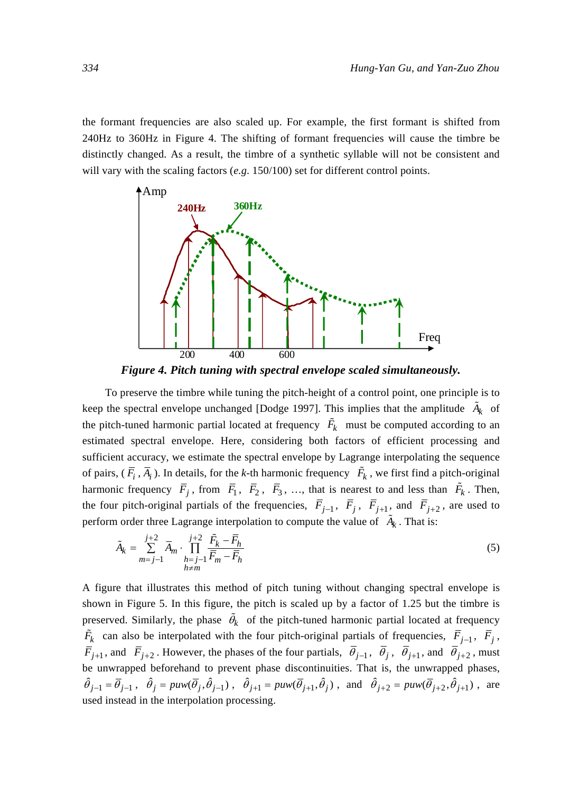the formant frequencies are also scaled up. For example, the first formant is shifted from 240Hz to 360Hz in Figure 4. The shifting of formant frequencies will cause the timbre be distinctly changed. As a result, the timbre of a synthetic syllable will not be consistent and will vary with the scaling factors (*e.g*. 150/100) set for different control points.



*Figure 4. Pitch tuning with spectral envelope scaled simultaneously.* 

To preserve the timbre while tuning the pitch-height of a control point, one principle is to keep the spectral envelope unchanged [Dodge 1997]. This implies that the amplitude  $\tilde{A}_k$  of the pitch-tuned harmonic partial located at frequency  $\tilde{F}_k$  must be computed according to an estimated spectral envelope. Here, considering both factors of efficient processing and sufficient accuracy, we estimate the spectral envelope by Lagrange interpolating the sequence of pairs,  $(\overline{F}_i, \overline{A}_i)$ . In details, for the *k*-th harmonic frequency  $\overline{F}_k$ , we first find a pitch-original harmonic frequency  $\overline{F}_j$ , from  $\overline{F}_1$ ,  $\overline{F}_2$ ,  $\overline{F}_3$ , ..., that is nearest to and less than  $\overline{F}_k$ . Then, the four pitch-original partials of the frequencies,  $\overline{F}_{j-1}$ ,  $\overline{F}_j$ ,  $\overline{F}_{j+1}$ , and  $\overline{F}_{j+2}$ , are used to perform order three Lagrange interpolation to compute the value of  $\tilde{A}_k$ . That is:

$$
\tilde{A}_k = \sum_{m=j-1}^{j+2} \overline{A}_m \cdot \prod_{\substack{h=j-1\\h \neq m}}^{j+2} \frac{\tilde{F}_k - \overline{F}_h}{\overline{F}_m - \overline{F}_h}
$$
\n
$$
\tag{5}
$$

A figure that illustrates this method of pitch tuning without changing spectral envelope is shown in Figure 5. In this figure, the pitch is scaled up by a factor of 1.25 but the timbre is preserved. Similarly, the phase  $\tilde{\theta}_k$  of the pitch-tuned harmonic partial located at frequency  $\tilde{F}_k$  can also be interpolated with the four pitch-original partials of frequencies,  $\overline{F}_{j-1}$ ,  $\overline{F}_j$ ,  $\overline{F}_{j+1}$ , and  $\overline{F}_{j+2}$ . However, the phases of the four partials,  $\overline{\theta}_{j-1}$ ,  $\overline{\theta}_j$ ,  $\overline{\theta}_{j+1}$ , and  $\overline{\theta}_{j+2}$ , must be unwrapped beforehand to prevent phase discontinuities. That is, the unwrapped phases,  $\hat{\theta}_{j-1} = \overline{\theta}_{j-1}$ ,  $\hat{\theta}_j = puw(\overline{\theta}_j, \hat{\theta}_{j-1})$ ,  $\hat{\theta}_{j+1} = puw(\overline{\theta}_{j+1}, \hat{\theta}_j)$ , and  $\hat{\theta}_{j+2} = puw(\overline{\theta}_{j+2}, \hat{\theta}_{j+1})$ , are used instead in the interpolation processing.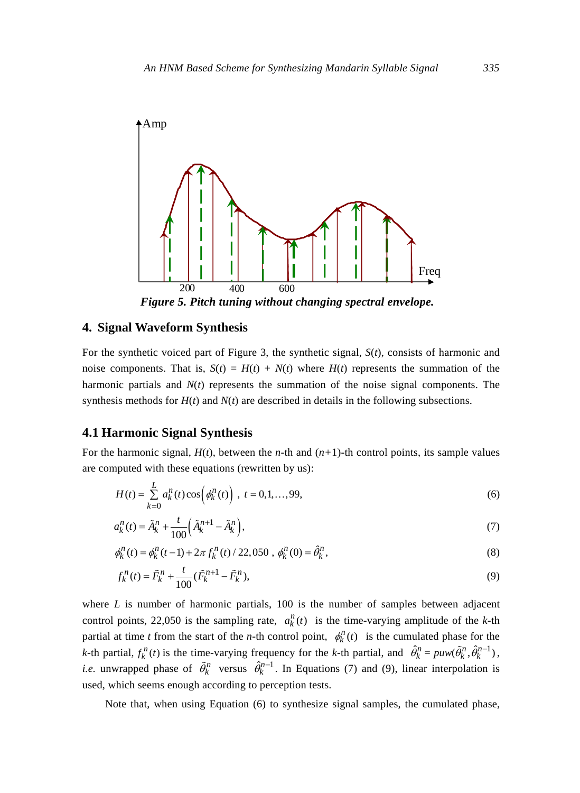

#### **4. Signal Waveform Synthesis**

For the synthetic voiced part of Figure 3, the synthetic signal, *S*(*t*), consists of harmonic and noise components. That is,  $S(t) = H(t) + N(t)$  where  $H(t)$  represents the summation of the harmonic partials and  $N(t)$  represents the summation of the noise signal components. The synthesis methods for  $H(t)$  and  $N(t)$  are described in details in the following subsections.

#### **4.1 Harmonic Signal Synthesis**

For the harmonic signal,  $H(t)$ , between the *n*-th and  $(n+1)$ -th control points, its sample values are computed with these equations (rewritten by us):

$$
H(t) = \sum_{k=0}^{L} a_k^n(t) \cos\left(\phi_k^n(t)\right), \ t = 0, 1, \dots, 99,
$$
\n(6)

$$
a_k^n(t) = \tilde{A}_k^n + \frac{t}{100} \left( \tilde{A}_k^{n+1} - \tilde{A}_k^n \right),\tag{7}
$$

$$
\phi_k^n(t) = \phi_k^n(t-1) + 2\pi f_k^n(t) / 22{,}050 , \phi_k^n(0) = \hat{\theta}_k^n,
$$
\n(8)

$$
f_k^n(t) = \tilde{F}_k^n + \frac{t}{100} (\tilde{F}_k^{n+1} - \tilde{F}_k^n),
$$
\n(9)

where *L* is number of harmonic partials, 100 is the number of samples between adjacent control points, 22,050 is the sampling rate,  $a_k^n(t)$  is the time-varying amplitude of the *k*-th partial at time *t* from the start of the *n*-th control point,  $\phi_k^n(t)$  is the cumulated phase for the *k*-th partial,  $f_k^n(t)$  is the time-varying frequency for the *k*-th partial, and  $\hat{\theta}_k^n = \text{puw}(\tilde{\theta}_k^n, \hat{\theta}_k^{n-1})$ , *i.e.* unwrapped phase of  $\tilde{\theta}_k^n$  versus  $\hat{\theta}_k^{n-1}$ . In Equations (7) and (9), linear interpolation is used, which seems enough according to perception tests.

Note that, when using Equation (6) to synthesize signal samples, the cumulated phase,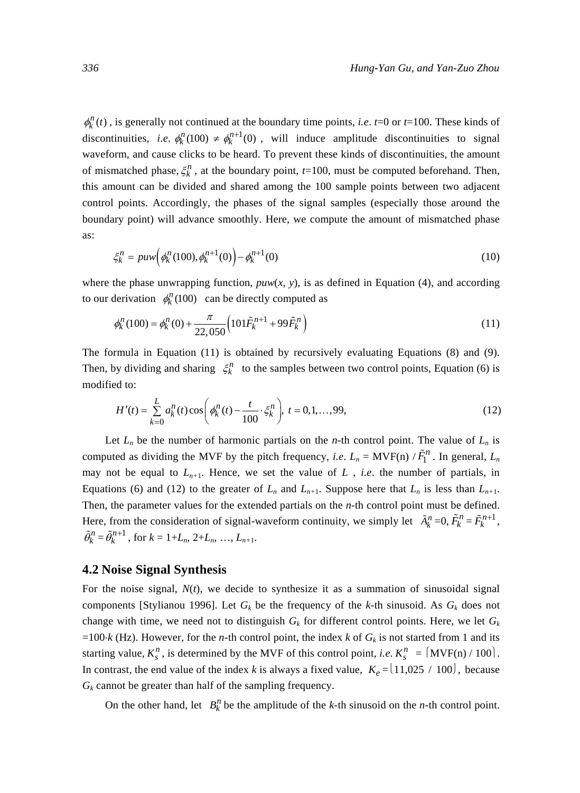$\phi_k^n(t)$ , is generally not continued at the boundary time points, *i.e. t*=0 or *t*=100. These kinds of discontinuities, *i.e.*  $\phi_k^n(100) \neq \phi_k^{n+1}(0)$ , will induce amplitude discontinuities to signal waveform, and cause clicks to be heard. To prevent these kinds of discontinuities, the amount of mismatched phase,  $\xi_k^n$ , at the boundary point,  $t=100$ , must be computed beforehand. Then, this amount can be divided and shared among the 100 sample points between two adjacent control points. Accordingly, the phases of the signal samples (especially those around the boundary point) will advance smoothly. Here, we compute the amount of mismatched phase as:

$$
\xi_k^n = puw\Big(\phi_k^n(100), \phi_k^{n+1}(0)\Big) - \phi_k^{n+1}(0) \tag{10}
$$

where the phase unwrapping function,  $p u w(x, y)$ , is as defined in Equation (4), and according to our derivation  $\phi_k^n(100)$  can be directly computed as

$$
\phi_k^n(100) = \phi_k^n(0) + \frac{\pi}{22,050} \Big( 101 \tilde{F}_k^{n+1} + 99 \tilde{F}_k^n \Big)
$$
\n(11)

The formula in Equation (11) is obtained by recursively evaluating Equations (8) and (9). Then, by dividing and sharing  $\zeta_k^n$  to the samples between two control points, Equation (6) is modified to:

$$
H'(t) = \sum_{k=0}^{L} a_k^n(t) \cos\left(\phi_k^n(t) - \frac{t}{100} \cdot \xi_k^n\right), \ t = 0, 1, \dots, 99,
$$
 (12)

Let  $L_n$  be the number of harmonic partials on the *n*-th control point. The value of  $L_n$  is computed as dividing the MVF by the pitch frequency, *i.e.*  $L_n = \text{MVF(n)} / \tilde{F}_1^n$ . In general,  $L_n$ may not be equal to  $L_{n+1}$ . Hence, we set the value of  $L$ , *i.e.* the number of partials, in Equations (6) and (12) to the greater of  $L_n$  and  $L_{n+1}$ . Suppose here that  $L_n$  is less than  $L_{n+1}$ . Then, the parameter values for the extended partials on the *n*-th control point must be defined. Here, from the consideration of signal-waveform continuity, we simply let  $\tilde{A}_k^n = 0$ ,  $\tilde{F}_k^n = \tilde{F}_k^{n+1}$ ,  $\tilde{\theta}_k^n = \tilde{\theta}_k^{n+1}$ , for  $k = 1 + L_n, 2 + L_n, ..., L_{n+1}$ .

# **4.2 Noise Signal Synthesis**

For the noise signal,  $N(t)$ , we decide to synthesize it as a summation of sinusoidal signal components [Stylianou 1996]. Let  $G_k$  be the frequency of the *k*-th sinusoid. As  $G_k$  does not change with time, we need not to distinguish  $G_k$  for different control points. Here, we let  $G_k$ =100⋅*k* (Hz). However, for the *n*-th control point, the index *k* of  $G_k$  is not started from 1 and its starting value,  $K_s^n$ , is determined by the MVF of this control point, *i.e.*  $K_s^n = \left\{MVF(n)/100\right\}$ . In contrast, the end value of the index *k* is always a fixed value,  $K_e = (11,025 / 100)$ , because  $G_k$  cannot be greater than half of the sampling frequency.

On the other hand, let  $B_k^n$  be the amplitude of the *k*-th sinusoid on the *n*-th control point.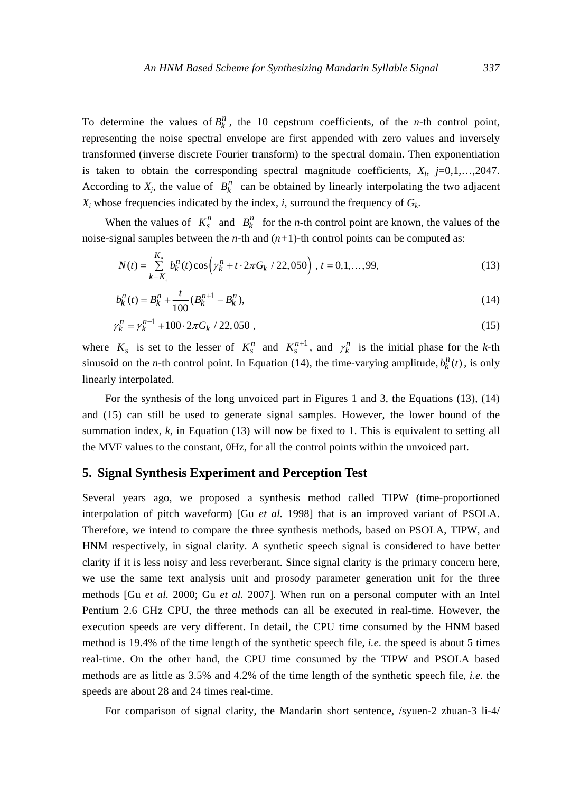To determine the values of  $B_k^n$ , the 10 cepstrum coefficients, of the *n*-th control point, representing the noise spectral envelope are first appended with zero values and inversely transformed (inverse discrete Fourier transform) to the spectral domain. Then exponentiation is taken to obtain the corresponding spectral magnitude coefficients,  $X_i$ ,  $j=0,1,\ldots,2047$ . According to  $X_j$ , the value of  $B_k^n$  can be obtained by linearly interpolating the two adjacent  $X_i$  whose frequencies indicated by the index, *i*, surround the frequency of  $G_k$ .

When the values of  $K_s^n$  and  $B_k^n$  for the *n*-th control point are known, the values of the noise-signal samples between the *n*-th and  $(n+1)$ -th control points can be computed as:

$$
N(t) = \sum_{k=K_s}^{K_e} b_k^n(t) \cos\left(\gamma_k^n + t \cdot 2\pi G_k / 22,050\right), t = 0,1,\dots,99,
$$
\n(13)

$$
b_k^n(t) = B_k^n + \frac{t}{100} (B_k^{n+1} - B_k^n),
$$
\n(14)

$$
\gamma_k^n = \gamma_k^{n-1} + 100 \cdot 2\pi G_k / 22{,}050 ,\qquad (15)
$$

where  $K_s$  is set to the lesser of  $K_s^n$  and  $K_s^{n+1}$ , and  $\gamma_k^n$  is the initial phase for the *k*-th sinusoid on the *n*-th control point. In Equation (14), the time-varying amplitude,  $b_k^n(t)$ , is only linearly interpolated.

For the synthesis of the long unvoiced part in Figures 1 and 3, the Equations (13), (14) and (15) can still be used to generate signal samples. However, the lower bound of the summation index, *k*, in Equation (13) will now be fixed to 1. This is equivalent to setting all the MVF values to the constant, 0Hz, for all the control points within the unvoiced part.

# **5. Signal Synthesis Experiment and Perception Test**

Several years ago, we proposed a synthesis method called TIPW (time-proportioned interpolation of pitch waveform) [Gu *et al.* 1998] that is an improved variant of PSOLA. Therefore, we intend to compare the three synthesis methods, based on PSOLA, TIPW, and HNM respectively, in signal clarity. A synthetic speech signal is considered to have better clarity if it is less noisy and less reverberant. Since signal clarity is the primary concern here, we use the same text analysis unit and prosody parameter generation unit for the three methods [Gu *et al.* 2000; Gu *et al.* 2007]. When run on a personal computer with an Intel Pentium 2.6 GHz CPU, the three methods can all be executed in real-time. However, the execution speeds are very different. In detail, the CPU time consumed by the HNM based method is 19.4% of the time length of the synthetic speech file, *i.e*. the speed is about 5 times real-time. On the other hand, the CPU time consumed by the TIPW and PSOLA based methods are as little as 3.5% and 4.2% of the time length of the synthetic speech file, *i.e*. the speeds are about 28 and 24 times real-time.

For comparison of signal clarity, the Mandarin short sentence, /syuen-2 zhuan-3 li-4/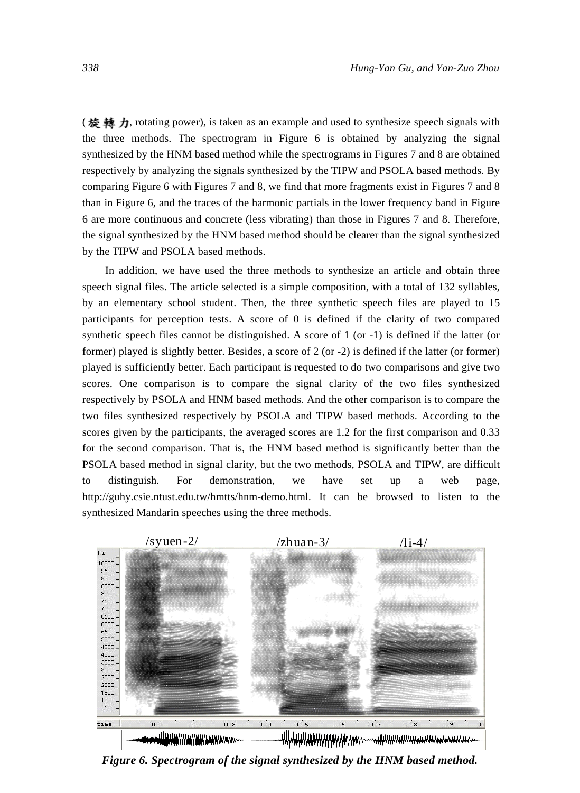(旋轉力, rotating power), is taken as an example and used to synthesize speech signals with the three methods. The spectrogram in Figure 6 is obtained by analyzing the signal synthesized by the HNM based method while the spectrograms in Figures 7 and 8 are obtained respectively by analyzing the signals synthesized by the TIPW and PSOLA based methods. By comparing Figure 6 with Figures 7 and 8, we find that more fragments exist in Figures 7 and 8 than in Figure 6, and the traces of the harmonic partials in the lower frequency band in Figure 6 are more continuous and concrete (less vibrating) than those in Figures 7 and 8. Therefore, the signal synthesized by the HNM based method should be clearer than the signal synthesized by the TIPW and PSOLA based methods.

In addition, we have used the three methods to synthesize an article and obtain three speech signal files. The article selected is a simple composition, with a total of 132 syllables, by an elementary school student. Then, the three synthetic speech files are played to 15 participants for perception tests. A score of 0 is defined if the clarity of two compared synthetic speech files cannot be distinguished. A score of 1 (or -1) is defined if the latter (or former) played is slightly better. Besides, a score of 2 (or -2) is defined if the latter (or former) played is sufficiently better. Each participant is requested to do two comparisons and give two scores. One comparison is to compare the signal clarity of the two files synthesized respectively by PSOLA and HNM based methods. And the other comparison is to compare the two files synthesized respectively by PSOLA and TIPW based methods. According to the scores given by the participants, the averaged scores are 1.2 for the first comparison and 0.33 for the second comparison. That is, the HNM based method is significantly better than the PSOLA based method in signal clarity, but the two methods, PSOLA and TIPW, are difficult to distinguish. For demonstration, we have set up a web page, http://guhy.csie.ntust.edu.tw/hmtts/hnm-demo.html. It can be browsed to listen to the synthesized Mandarin speeches using the three methods.



*Figure 6. Spectrogram of the signal synthesized by the HNM based method.*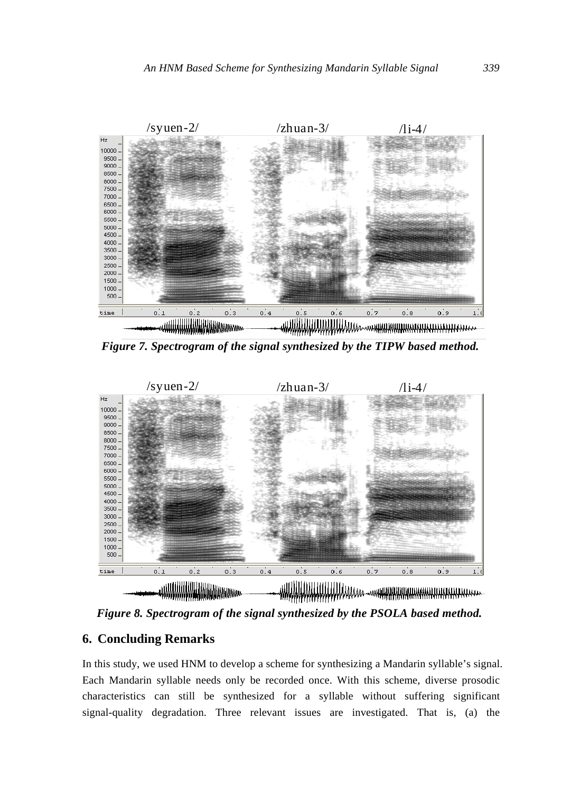

*Figure 7. Spectrogram of the signal synthesized by the TIPW based method.*



*Figure 8. Spectrogram of the signal synthesized by the PSOLA based method.* 

# **6. Concluding Remarks**

In this study, we used HNM to develop a scheme for synthesizing a Mandarin syllable's signal. Each Mandarin syllable needs only be recorded once. With this scheme, diverse prosodic characteristics can still be synthesized for a syllable without suffering significant signal-quality degradation. Three relevant issues are investigated. That is, (a) the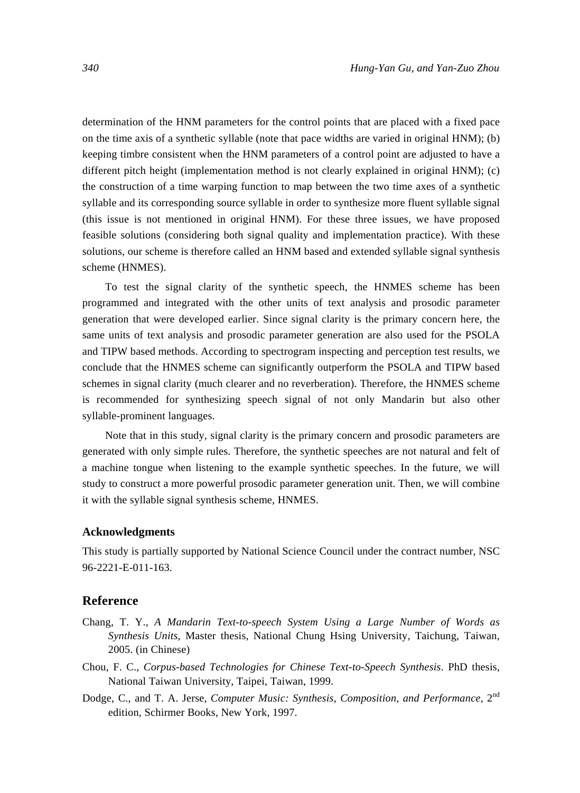determination of the HNM parameters for the control points that are placed with a fixed pace on the time axis of a synthetic syllable (note that pace widths are varied in original HNM); (b) keeping timbre consistent when the HNM parameters of a control point are adjusted to have a different pitch height (implementation method is not clearly explained in original HNM); (c) the construction of a time warping function to map between the two time axes of a synthetic syllable and its corresponding source syllable in order to synthesize more fluent syllable signal (this issue is not mentioned in original HNM). For these three issues, we have proposed feasible solutions (considering both signal quality and implementation practice). With these solutions, our scheme is therefore called an HNM based and extended syllable signal synthesis scheme (HNMES).

To test the signal clarity of the synthetic speech, the HNMES scheme has been programmed and integrated with the other units of text analysis and prosodic parameter generation that were developed earlier. Since signal clarity is the primary concern here, the same units of text analysis and prosodic parameter generation are also used for the PSOLA and TIPW based methods. According to spectrogram inspecting and perception test results, we conclude that the HNMES scheme can significantly outperform the PSOLA and TIPW based schemes in signal clarity (much clearer and no reverberation). Therefore, the HNMES scheme is recommended for synthesizing speech signal of not only Mandarin but also other syllable-prominent languages.

Note that in this study, signal clarity is the primary concern and prosodic parameters are generated with only simple rules. Therefore, the synthetic speeches are not natural and felt of a machine tongue when listening to the example synthetic speeches. In the future, we will study to construct a more powerful prosodic parameter generation unit. Then, we will combine it with the syllable signal synthesis scheme, HNMES.

#### **Acknowledgments**

This study is partially supported by National Science Council under the contract number, NSC 96-2221-E-011-163.

#### **Reference**

- Chang, T. Y., *A Mandarin Text-to-speech System Using a Large Number of Words as Synthesis Units*, Master thesis, National Chung Hsing University, Taichung, Taiwan, 2005. (in Chinese)
- Chou, F. C., *Corpus-based Technologies for Chinese Text-to-Speech Synthesis*. PhD thesis, National Taiwan University, Taipei, Taiwan, 1999.
- Dodge, C., and T. A. Jerse, *Computer Music: Synthesis, Composition, and Performance*, 2<sup>nd</sup> edition, Schirmer Books, New York, 1997.